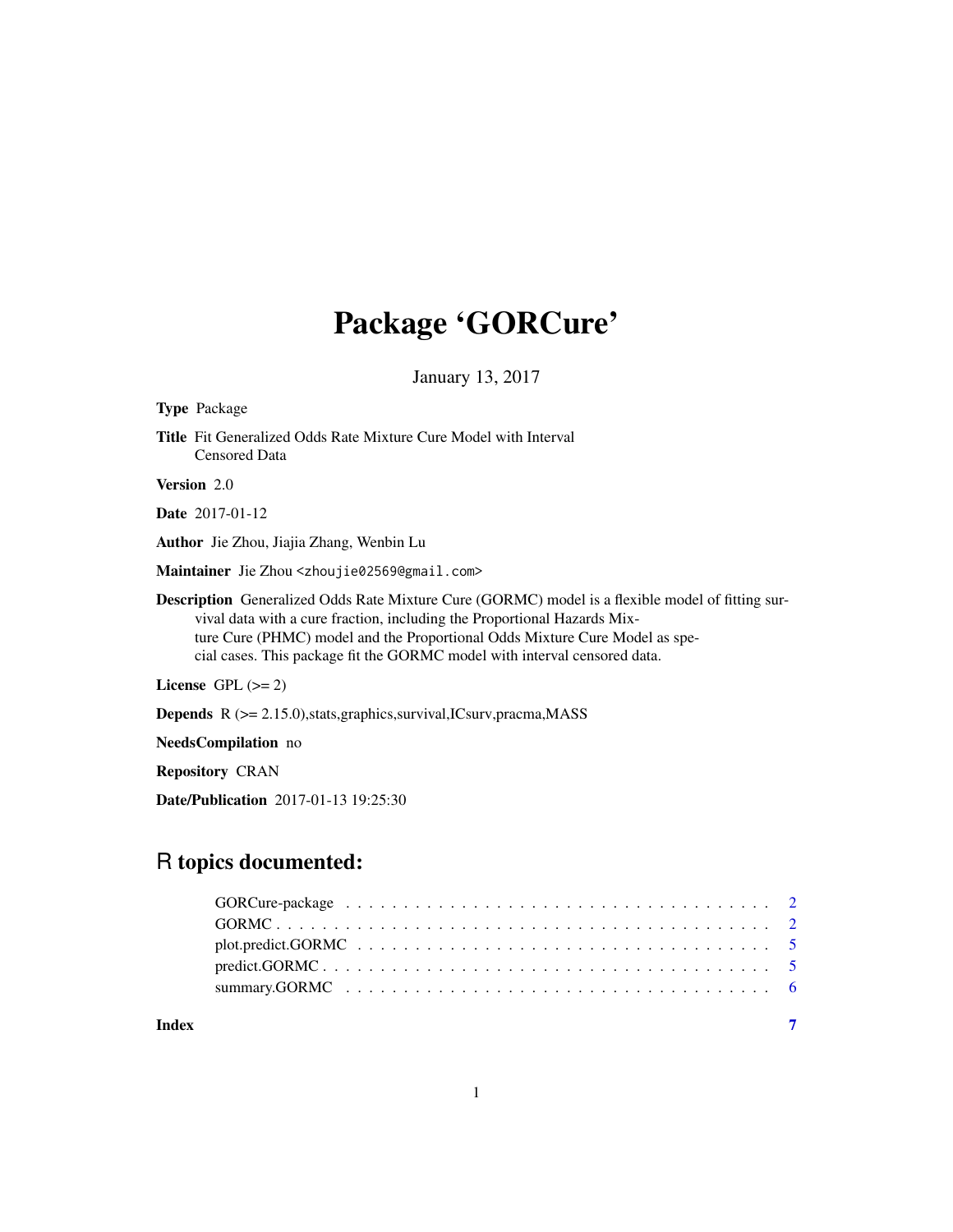# Package 'GORCure'

January 13, 2017

| <b>Type Package</b>                                                                                                                                                                                                                                                                                                                      |
|------------------------------------------------------------------------------------------------------------------------------------------------------------------------------------------------------------------------------------------------------------------------------------------------------------------------------------------|
| <b>Title</b> Fit Generalized Odds Rate Mixture Cure Model with Interval<br><b>Censored Data</b>                                                                                                                                                                                                                                          |
| <b>Version</b> 2.0                                                                                                                                                                                                                                                                                                                       |
| <b>Date</b> 2017-01-12                                                                                                                                                                                                                                                                                                                   |
| Author Jie Zhou, Jiajia Zhang, Wenbin Lu                                                                                                                                                                                                                                                                                                 |
| Maintainer Jie Zhou <zhoujie02569@gmail.com></zhoujie02569@gmail.com>                                                                                                                                                                                                                                                                    |
| Description Generalized Odds Rate Mixture Cure (GORMC) model is a flexible model of fitting sur-<br>vival data with a cure fraction, including the Proportional Hazards Mix-<br>ture Cure (PHMC) model and the Proportional Odds Mixture Cure Model as spe-<br>cial cases. This package fit the GORMC model with interval censored data. |
| License $GPL \, (= 2)$                                                                                                                                                                                                                                                                                                                   |
| <b>Depends</b> $R$ ( $>= 2.15.0$ ), stats, graphics, survival, ICsurv, pracma, MASS                                                                                                                                                                                                                                                      |
| NeedsCompilation no                                                                                                                                                                                                                                                                                                                      |
| <b>Repository CRAN</b>                                                                                                                                                                                                                                                                                                                   |
| <b>Date/Publication</b> 2017-01-13 19:25:30                                                                                                                                                                                                                                                                                              |
|                                                                                                                                                                                                                                                                                                                                          |

# R topics documented:

| Index |  |
|-------|--|
|       |  |

1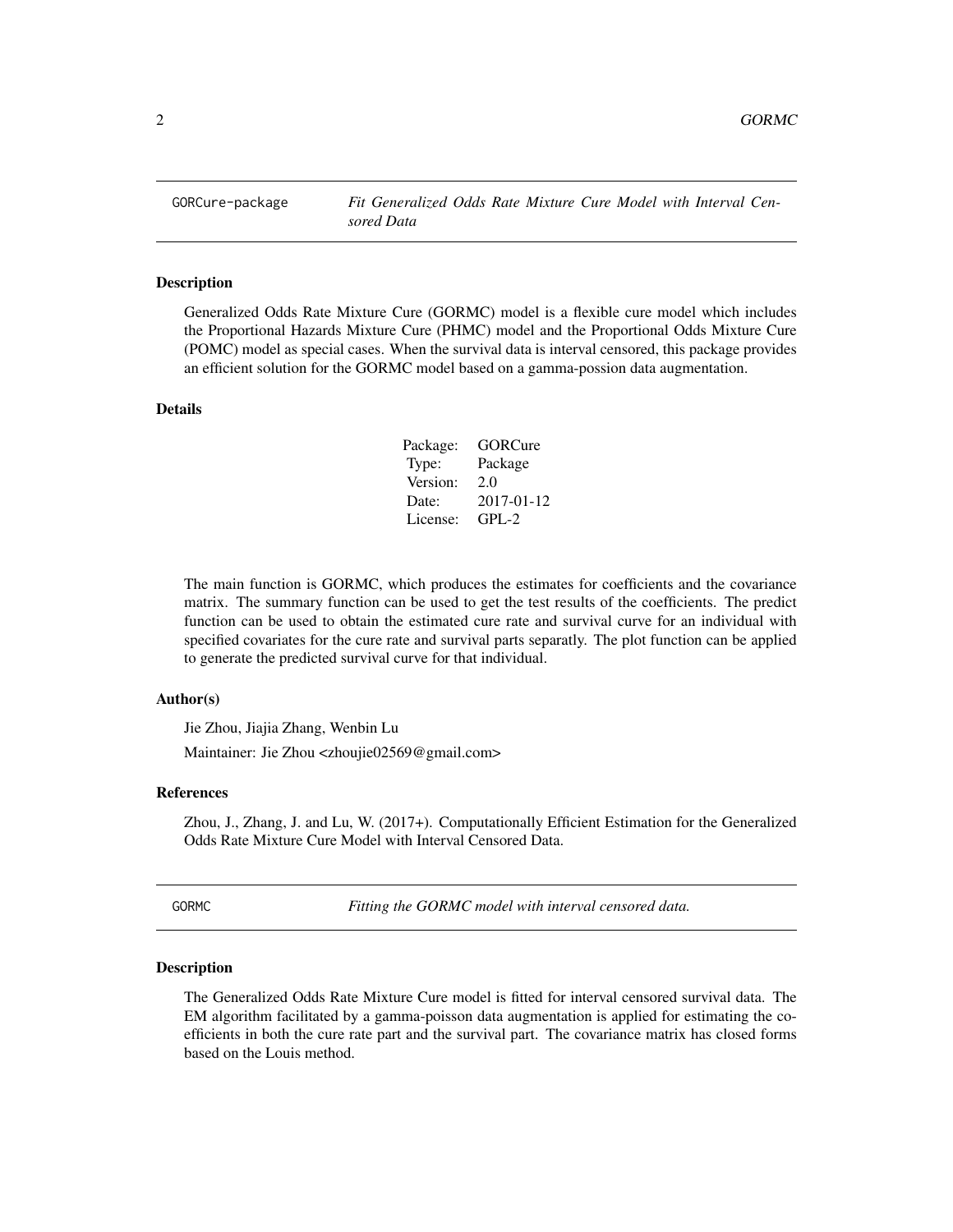<span id="page-1-0"></span>

# Description

Generalized Odds Rate Mixture Cure (GORMC) model is a flexible cure model which includes the Proportional Hazards Mixture Cure (PHMC) model and the Proportional Odds Mixture Cure (POMC) model as special cases. When the survival data is interval censored, this package provides an efficient solution for the GORMC model based on a gamma-possion data augmentation.

# Details

| Package: | GORCure    |
|----------|------------|
| Type:    | Package    |
| Version: | 2.0        |
| Date:    | 2017-01-12 |
| License: | $GPI - 2$  |

The main function is GORMC, which produces the estimates for coefficients and the covariance matrix. The summary function can be used to get the test results of the coefficients. The predict function can be used to obtain the estimated cure rate and survival curve for an individual with specified covariates for the cure rate and survival parts separatly. The plot function can be applied to generate the predicted survival curve for that individual.

# Author(s)

Jie Zhou, Jiajia Zhang, Wenbin Lu Maintainer: Jie Zhou <zhoujie02569@gmail.com>

### References

Zhou, J., Zhang, J. and Lu, W. (2017+). Computationally Efficient Estimation for the Generalized Odds Rate Mixture Cure Model with Interval Censored Data.

GORMC *Fitting the GORMC model with interval censored data.*

### Description

The Generalized Odds Rate Mixture Cure model is fitted for interval censored survival data. The EM algorithm facilitated by a gamma-poisson data augmentation is applied for estimating the coefficients in both the cure rate part and the survival part. The covariance matrix has closed forms based on the Louis method.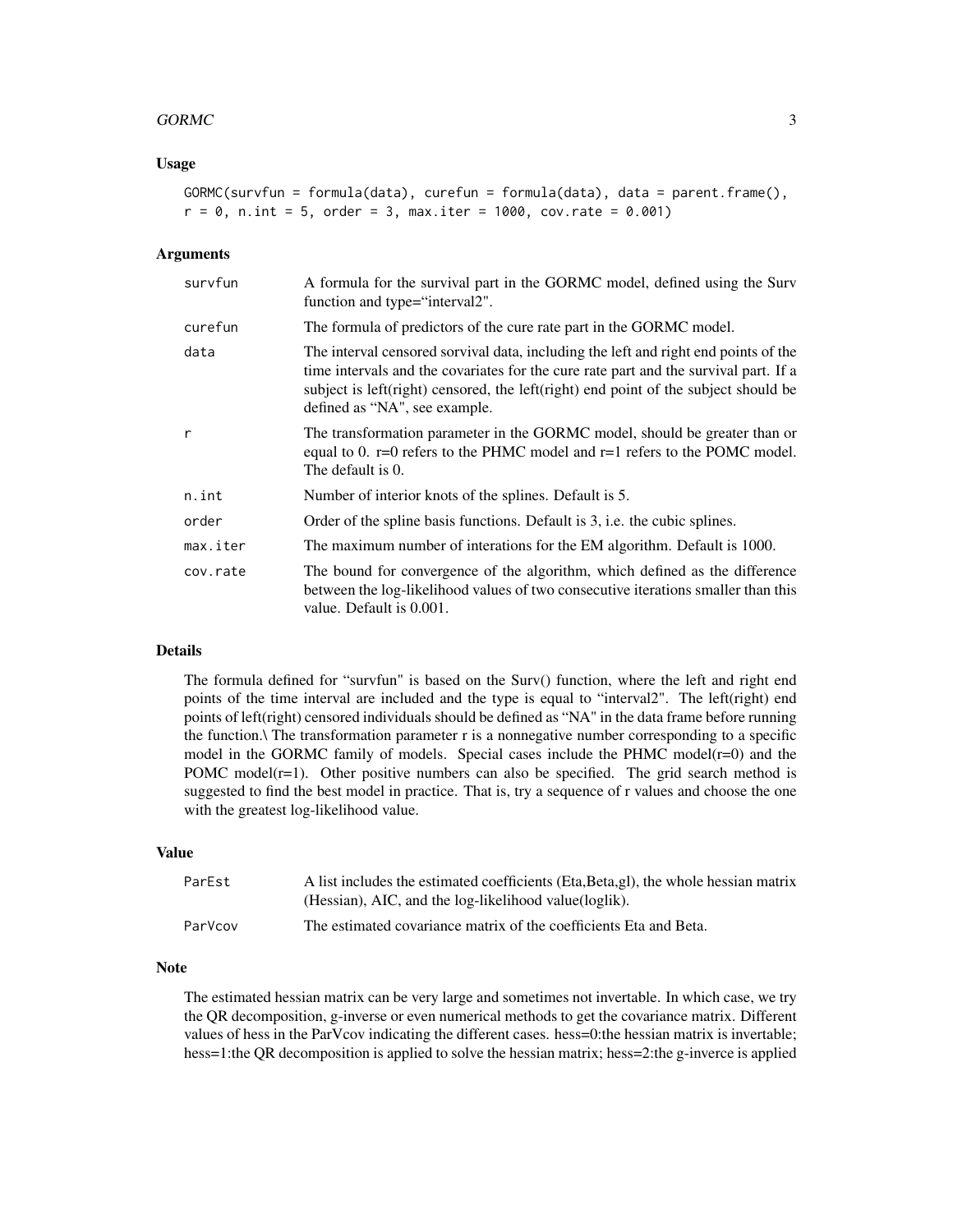# $GORMC$  3

# Usage

```
GORMC(survfun = formula(data), curefun = formula(data), data = parent.frame(),
r = 0, n.int = 5, order = 3, max.iter = 1000, cov.rate = 0.001)
```
# Arguments

| survfun      | A formula for the survival part in the GORMC model, defined using the Surv<br>function and type="interval2".                                                                                                                                                                                        |
|--------------|-----------------------------------------------------------------------------------------------------------------------------------------------------------------------------------------------------------------------------------------------------------------------------------------------------|
| curefun      | The formula of predictors of the cure rate part in the GORMC model.                                                                                                                                                                                                                                 |
| data         | The interval censored sorvival data, including the left and right end points of the<br>time intervals and the covariates for the cure rate part and the survival part. If a<br>subject is left(right) censored, the left(right) end point of the subject should be<br>defined as "NA", see example. |
| $\mathsf{r}$ | The transformation parameter in the GORMC model, should be greater than or<br>equal to 0. $r=0$ refers to the PHMC model and $r=1$ refers to the POMC model.<br>The default is 0.                                                                                                                   |
| n.int        | Number of interior knots of the splines. Default is 5.                                                                                                                                                                                                                                              |
| order        | Order of the spline basis functions. Default is 3, i.e. the cubic splines.                                                                                                                                                                                                                          |
| max.iter     | The maximum number of interations for the EM algorithm. Default is 1000.                                                                                                                                                                                                                            |
| cov.rate     | The bound for convergence of the algorithm, which defined as the difference<br>between the log-likelihood values of two consecutive iterations smaller than this<br>value. Default is 0.001.                                                                                                        |

# Details

The formula defined for "survfun" is based on the Surv() function, where the left and right end points of the time interval are included and the type is equal to "interval2". The left(right) end points of left(right) censored individuals should be defined as "NA" in the data frame before running the function.\ The transformation parameter r is a nonnegative number corresponding to a specific model in the GORMC family of models. Special cases include the PHMC model( $r=0$ ) and the POMC model( $r=1$ ). Other positive numbers can also be specified. The grid search method is suggested to find the best model in practice. That is, try a sequence of r values and choose the one with the greatest log-likelihood value.

# Value

| ParEst  | A list includes the estimated coefficients (Eta, Beta, gl), the whole hessian matrix<br>(Hessian), AIC, and the log-likelihood value(loglik). |
|---------|-----------------------------------------------------------------------------------------------------------------------------------------------|
| ParVcov | The estimated covariance matrix of the coefficients Eta and Beta.                                                                             |

### Note

The estimated hessian matrix can be very large and sometimes not invertable. In which case, we try the QR decomposition, g-inverse or even numerical methods to get the covariance matrix. Different values of hess in the ParVcov indicating the different cases. hess=0:the hessian matrix is invertable; hess=1:the QR decomposition is applied to solve the hessian matrix; hess=2:the g-inverce is applied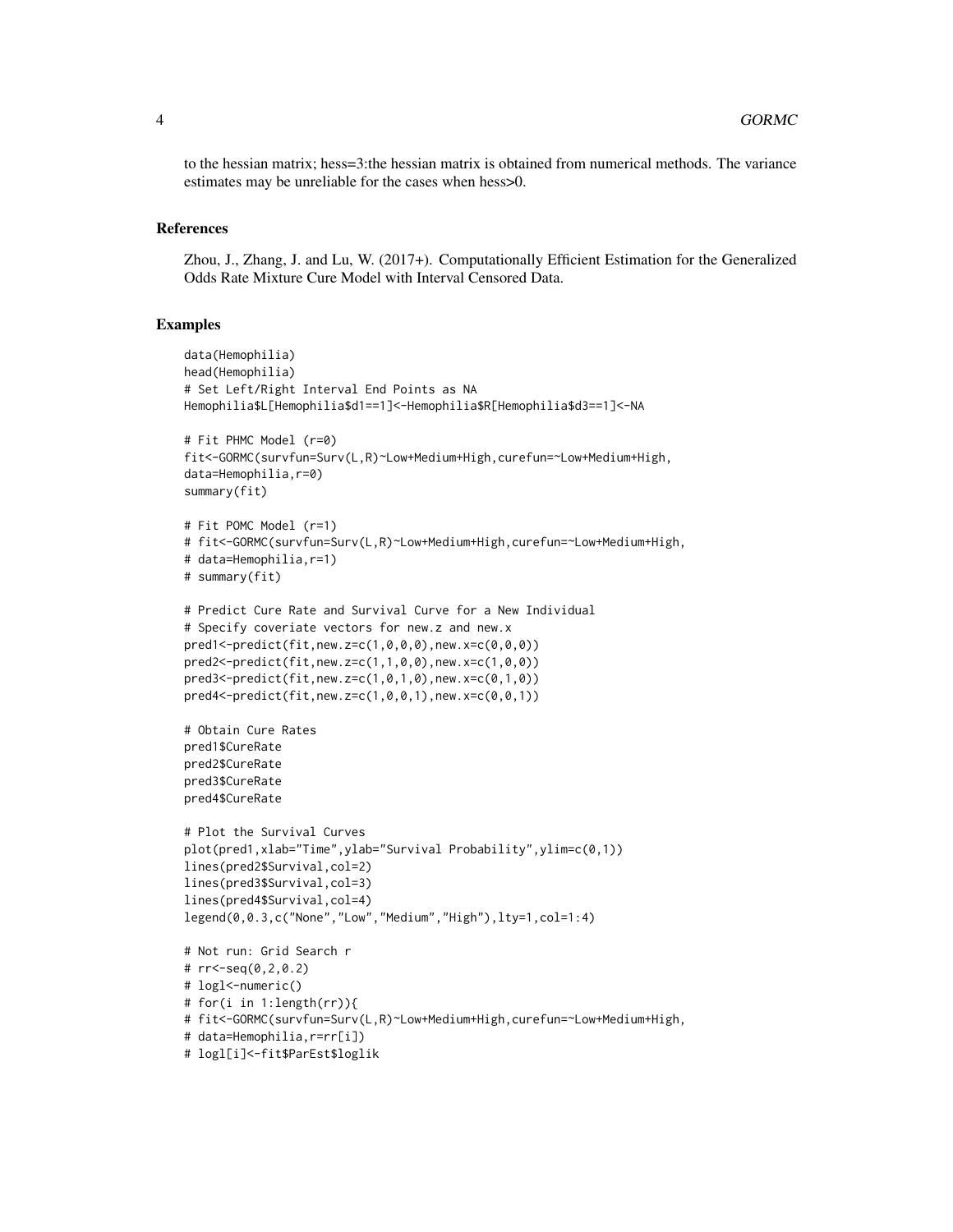to the hessian matrix; hess=3:the hessian matrix is obtained from numerical methods. The variance estimates may be unreliable for the cases when hess>0.

### References

Zhou, J., Zhang, J. and Lu, W. (2017+). Computationally Efficient Estimation for the Generalized Odds Rate Mixture Cure Model with Interval Censored Data.

# **Examples**

```
data(Hemophilia)
head(Hemophilia)
# Set Left/Right Interval End Points as NA
Hemophilia$L[Hemophilia$d1==1]<-Hemophilia$R[Hemophilia$d3==1]<-NA
# Fit PHMC Model (r=0)
fit<-GORMC(survfun=Surv(L,R)~Low+Medium+High,curefun=~Low+Medium+High,
data=Hemophilia,r=0)
summary(fit)
# Fit POMC Model (r=1)
# fit<-GORMC(survfun=Surv(L,R)~Low+Medium+High,curefun=~Low+Medium+High,
# data=Hemophilia,r=1)
# summary(fit)
# Predict Cure Rate and Survival Curve for a New Individual
# Specify coveriate vectors for new.z and new.x
pred1<-predict(fit,new.z=c(1,0,0,0),new.x=c(0,0,0))
pred2<-predict(fit,new.z=c(1,1,0,0),new.x=c(1,0,0))
pred3<-predict(fit,new.z=c(1,0,1,0),new.x=c(0,1,0))
pred4<-predict(fit,new.z=c(1,0,0,1),new.x=c(0,0,1))
# Obtain Cure Rates
pred1$CureRate
pred2$CureRate
pred3$CureRate
pred4$CureRate
# Plot the Survival Curves
plot(pred1,xlab="Time",ylab="Survival Probability",ylim=c(0,1))
lines(pred2$Survival,col=2)
lines(pred3$Survival,col=3)
lines(pred4$Survival,col=4)
legend(0,0.3,c("None","Low","Medium","High"),lty=1,col=1:4)
# Not run: Grid Search r
# rr<-seq(0,2,0.2)
# logl<-numeric()
# for(i in 1:length(rr)){
# fit<-GORMC(survfun=Surv(L,R)~Low+Medium+High,curefun=~Low+Medium+High,
# data=Hemophilia,r=rr[i])
# logl[i]<-fit$ParEst$loglik
```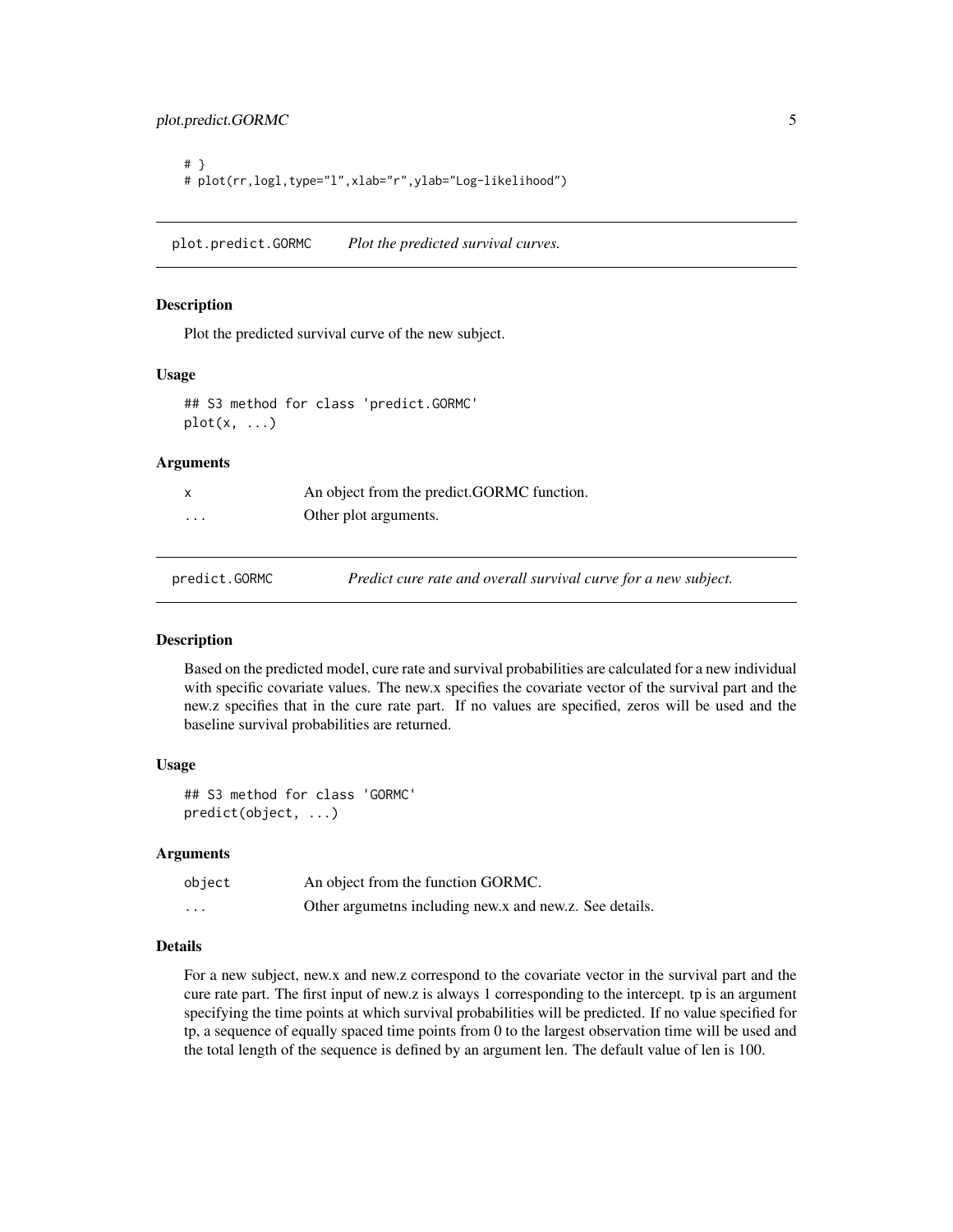<span id="page-4-0"></span># } # plot(rr,logl,type="l",xlab="r",ylab="Log-likelihood")

plot.predict.GORMC *Plot the predicted survival curves.*

### Description

Plot the predicted survival curve of the new subject.

### Usage

## S3 method for class 'predict.GORMC'  $plot(x, \ldots)$ 

# Arguments

|          | An object from the predict.GORMC function. |
|----------|--------------------------------------------|
| $\cdots$ | Other plot arguments.                      |
|          |                                            |

predict.GORMC *Predict cure rate and overall survival curve for a new subject.*

# Description

Based on the predicted model, cure rate and survival probabilities are calculated for a new individual with specific covariate values. The new.x specifies the covariate vector of the survival part and the new.z specifies that in the cure rate part. If no values are specified, zeros will be used and the baseline survival probabilities are returned.

#### Usage

## S3 method for class 'GORMC' predict(object, ...)

### Arguments

| object   | An object from the function GORMC.                      |
|----------|---------------------------------------------------------|
| $\cdots$ | Other argumeths including new.x and new.z. See details. |

# Details

For a new subject, new.x and new.z correspond to the covariate vector in the survival part and the cure rate part. The first input of new.z is always 1 corresponding to the intercept. tp is an argument specifying the time points at which survival probabilities will be predicted. If no value specified for tp, a sequence of equally spaced time points from 0 to the largest observation time will be used and the total length of the sequence is defined by an argument len. The default value of len is 100.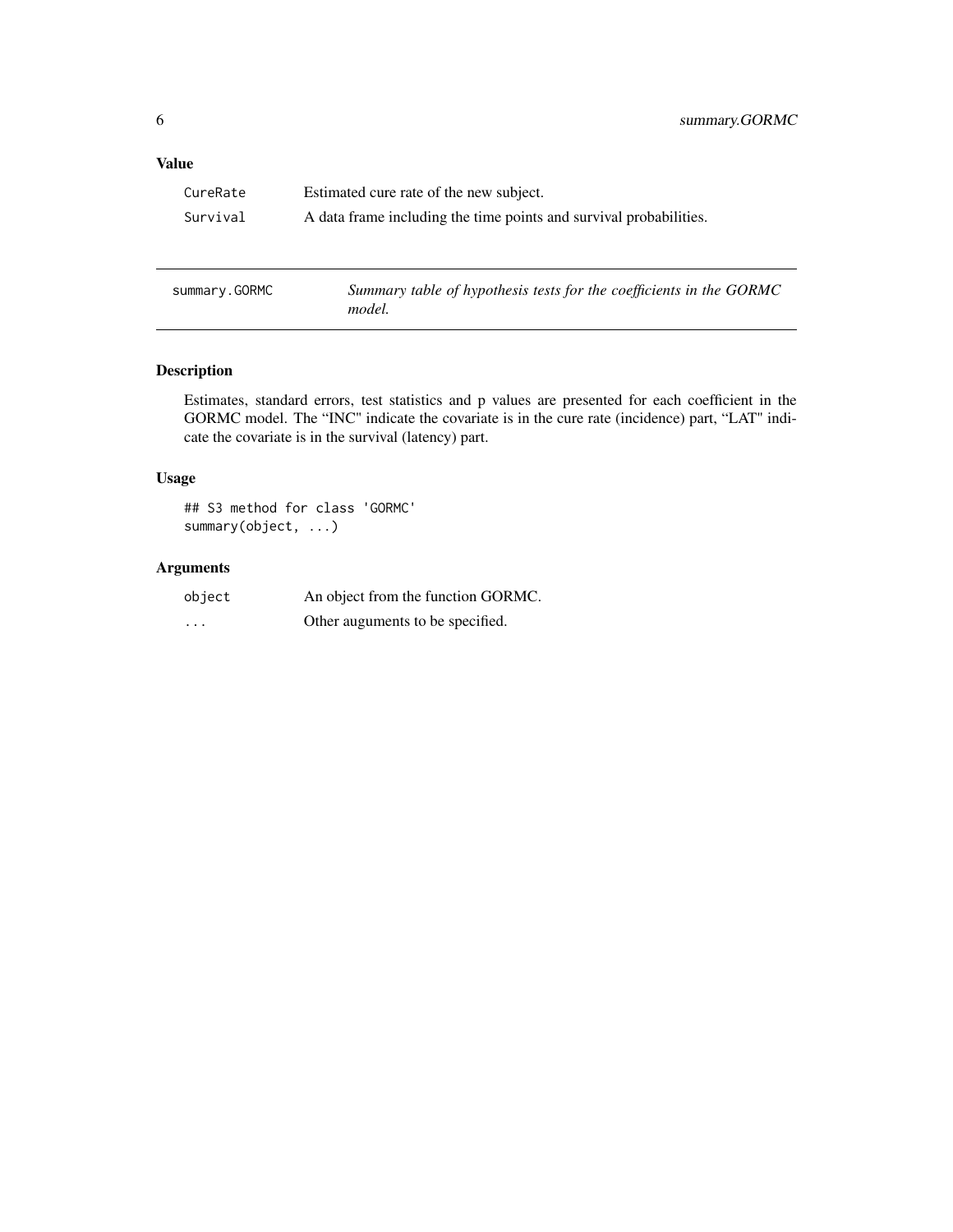# <span id="page-5-0"></span>Value

| CureRate      | Estimated cure rate of the new subject.                                       |  |
|---------------|-------------------------------------------------------------------------------|--|
| Survival      | A data frame including the time points and survival probabilities.            |  |
|               |                                                                               |  |
|               |                                                                               |  |
| summary.GORMC | Summary table of hypothesis tests for the coefficients in the GORMC<br>model. |  |

# Description

Estimates, standard errors, test statistics and p values are presented for each coefficient in the GORMC model. The "INC" indicate the covariate is in the cure rate (incidence) part, "LAT" indicate the covariate is in the survival (latency) part.

# Usage

## S3 method for class 'GORMC' summary(object, ...)

# Arguments

| object   | An object from the function GORMC. |
|----------|------------------------------------|
| $\cdots$ | Other auguments to be specified.   |